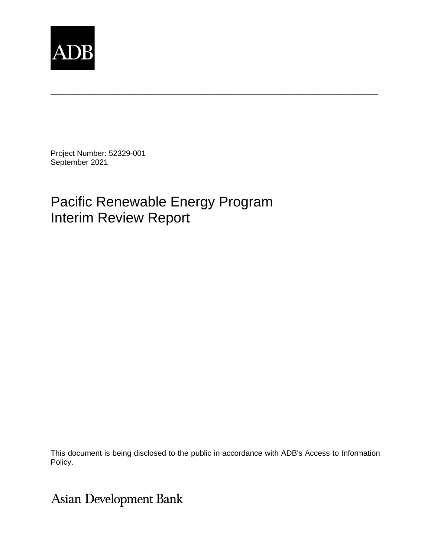

Project Number: 52329-001 September 2021

# Pacific Renewable Energy Program Interim Review Report

This document is being disclosed to the public in accordance with ADB's Access to Information Policy.

\_\_\_\_\_\_\_\_\_\_\_\_\_\_\_\_\_\_\_\_\_\_\_\_\_\_\_\_\_\_\_\_\_\_\_\_\_\_\_\_\_\_\_\_\_\_\_\_\_\_\_\_\_\_\_\_\_\_\_\_\_\_\_\_\_\_\_\_\_\_\_\_\_\_\_\_

Asian Development Bank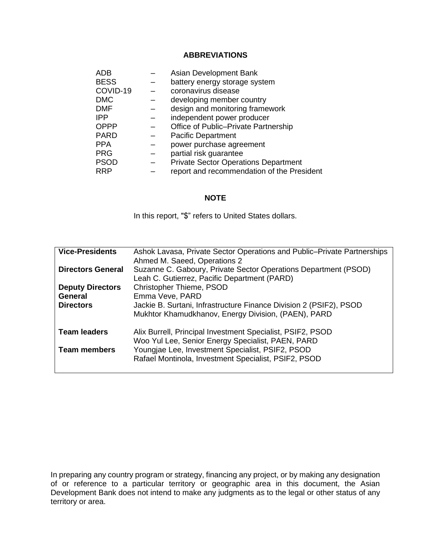#### **ABBREVIATIONS**

| ADB         | Asian Development Bank                      |
|-------------|---------------------------------------------|
| <b>BESS</b> | battery energy storage system               |
| COVID-19    | coronavirus disease                         |
| <b>DMC</b>  | developing member country                   |
| <b>DMF</b>  | design and monitoring framework             |
| <b>IPP</b>  | independent power producer                  |
| <b>OPPP</b> | Office of Public-Private Partnership        |
| <b>PARD</b> | <b>Pacific Department</b>                   |
| <b>PPA</b>  | power purchase agreement                    |
| <b>PRG</b>  | partial risk guarantee                      |
| <b>PSOD</b> | <b>Private Sector Operations Department</b> |
| <b>RRP</b>  | report and recommendation of the President  |

#### **NOTE**

In this report, "\$" refers to United States dollars.

| <b>Vice-Presidents</b>   | Ashok Lavasa, Private Sector Operations and Public–Private Partnerships<br>Ahmed M. Saeed, Operations 2                   |
|--------------------------|---------------------------------------------------------------------------------------------------------------------------|
| <b>Directors General</b> | Suzanne C. Gaboury, Private Sector Operations Department (PSOD)<br>Leah C. Gutierrez, Pacific Department (PARD)           |
| <b>Deputy Directors</b>  | <b>Christopher Thieme, PSOD</b>                                                                                           |
| <b>General</b>           | Emma Veve, PARD                                                                                                           |
| <b>Directors</b>         | Jackie B. Surtani, Infrastructure Finance Division 2 (PSIF2), PSOD<br>Mukhtor Khamudkhanov, Energy Division, (PAEN), PARD |
| <b>Team leaders</b>      | Alix Burrell, Principal Investment Specialist, PSIF2, PSOD<br>Woo Yul Lee, Senior Energy Specialist, PAEN, PARD           |
| <b>Team members</b>      | Youngjae Lee, Investment Specialist, PSIF2, PSOD<br>Rafael Montinola, Investment Specialist, PSIF2, PSOD                  |

In preparing any country program or strategy, financing any project, or by making any designation of or reference to a particular territory or geographic area in this document, the Asian Development Bank does not intend to make any judgments as to the legal or other status of any territory or area.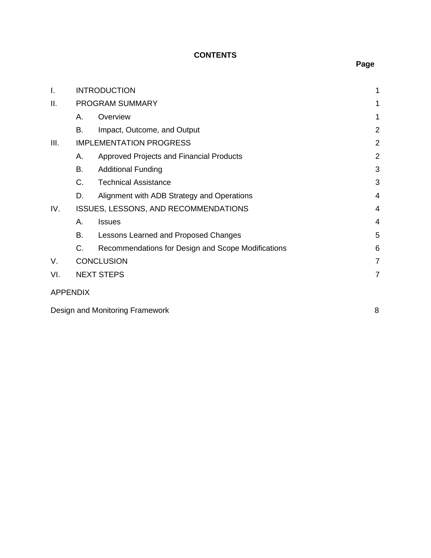# **CONTENTS**

| I.              | <b>INTRODUCTION</b> |                                                    | 1              |
|-----------------|---------------------|----------------------------------------------------|----------------|
| ΙΙ.             | PROGRAM SUMMARY     |                                                    | 1              |
|                 | А.                  | Overview                                           | 1              |
|                 | B.                  | Impact, Outcome, and Output                        | $\overline{2}$ |
| III.            |                     | <b>IMPLEMENTATION PROGRESS</b>                     | $\overline{2}$ |
|                 | А.                  | Approved Projects and Financial Products           | $\overline{2}$ |
|                 | В.                  | <b>Additional Funding</b>                          | 3              |
|                 | C.                  | <b>Technical Assistance</b>                        | 3              |
|                 | D.                  | Alignment with ADB Strategy and Operations         | $\overline{4}$ |
| IV.             |                     | ISSUES, LESSONS, AND RECOMMENDATIONS               | 4              |
|                 | А.                  | <b>Issues</b>                                      | 4              |
|                 | В.                  | Lessons Learned and Proposed Changes               | 5              |
|                 | C.                  | Recommendations for Design and Scope Modifications | 6              |
| V.              | <b>CONCLUSION</b>   |                                                    | 7              |
| VI.             | <b>NEXT STEPS</b>   |                                                    | 7              |
| <b>APPENDIX</b> |                     |                                                    |                |
|                 |                     | Design and Monitoring Framework                    | 8              |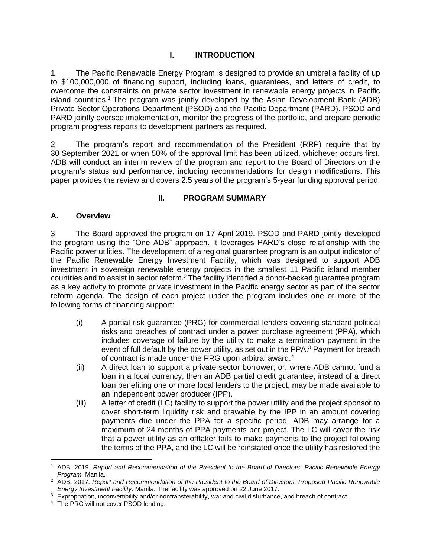#### **I. INTRODUCTION**

<span id="page-4-0"></span>1. The Pacific Renewable Energy Program is designed to provide an umbrella facility of up to \$100,000,000 of financing support, including loans, guarantees, and letters of credit, to overcome the constraints on private sector investment in renewable energy projects in Pacific island countries.<sup>1</sup> The program was jointly developed by the Asian Development Bank (ADB) Private Sector Operations Department (PSOD) and the Pacific Department (PARD). PSOD and PARD jointly oversee implementation, monitor the progress of the portfolio, and prepare periodic program progress reports to development partners as required.

2. The program's report and recommendation of the President (RRP) require that by 30 September 2021 or when 50% of the approval limit has been utilized, whichever occurs first, ADB will conduct an interim review of the program and report to the Board of Directors on the program's status and performance, including recommendations for design modifications. This paper provides the review and covers 2.5 years of the program's 5-year funding approval period.

#### **II. PROGRAM SUMMARY**

#### <span id="page-4-2"></span><span id="page-4-1"></span>**A. Overview**

3. The Board approved the program on 17 April 2019. PSOD and PARD jointly developed the program using the "One ADB" approach. It leverages PARD's close relationship with the Pacific power utilities. The development of a regional guarantee program is an output indicator of the Pacific Renewable Energy Investment Facility, which was designed to support ADB investment in sovereign renewable energy projects in the smallest 11 Pacific island member countries and to assist in sector reform.<sup>2</sup> The facility identified a donor-backed guarantee program as a key activity to promote private investment in the Pacific energy sector as part of the sector reform agenda. The design of each project under the program includes one or more of the following forms of financing support:

- (i) A partial risk guarantee (PRG) for commercial lenders covering standard political risks and breaches of contract under a power purchase agreement (PPA), which includes coverage of failure by the utility to make a termination payment in the event of full default by the power utility, as set out in the  $PPA<sup>3</sup>$  Payment for breach of contract is made under the PRG upon arbitral award.<sup>4</sup>
- (ii) A direct loan to support a private sector borrower; or, where ADB cannot fund a loan in a local currency, then an ADB partial credit guarantee, instead of a direct loan benefiting one or more local lenders to the project, may be made available to an independent power producer (IPP).
- (iii) A letter of credit (LC) facility to support the power utility and the project sponsor to cover short-term liquidity risk and drawable by the IPP in an amount covering payments due under the PPA for a specific period. ADB may arrange for a maximum of 24 months of PPA payments per project. The LC will cover the risk that a power utility as an offtaker fails to make payments to the project following the terms of the PPA, and the LC will be reinstated once the utility has restored the

<sup>1</sup> ADB. 2019. *Report and Recommendation of the President to the Board of Directors: Pacific Renewable Energy Program.* Manila.

<sup>2</sup> ADB. 2017. *Report and Recommendation of the President to the Board of Directors: Proposed Pacific Renewable Energy Investment Facility*. Manila. The facility was approved on 22 June 2017.

<sup>3</sup> Expropriation, inconvertibility and/or nontransferability, war and civil disturbance, and breach of contract.

<sup>4</sup> The PRG will not cover PSOD lending.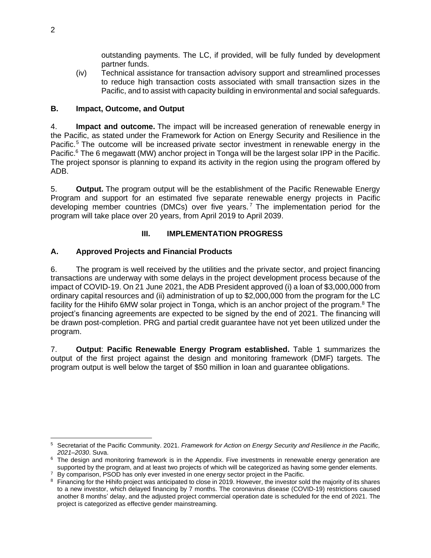outstanding payments. The LC, if provided, will be fully funded by development partner funds.

(iv) Technical assistance for transaction advisory support and streamlined processes to reduce high transaction costs associated with small transaction sizes in the Pacific, and to assist with capacity building in environmental and social safeguards.

## <span id="page-5-0"></span>**B. Impact, Outcome, and Output**

4. **Impact and outcome.** The impact will be increased generation of renewable energy in the Pacific, as stated under the Framework for Action on Energy Security and Resilience in the Pacific.<sup>5</sup> The outcome will be increased private sector investment in renewable energy in the Pacific.<sup>6</sup> The 6 megawatt (MW) anchor project in Tonga will be the largest solar IPP in the Pacific. The project sponsor is planning to expand its activity in the region using the program offered by ADB.

5. **Output.** The program output will be the establishment of the Pacific Renewable Energy Program and support for an estimated five separate renewable energy projects in Pacific developing member countries (DMCs) over five years.<sup>7</sup> The implementation period for the program will take place over 20 years, from April 2019 to April 2039.

#### **III. IMPLEMENTATION PROGRESS**

# <span id="page-5-2"></span><span id="page-5-1"></span>**A. Approved Projects and Financial Products**

6. The program is well received by the utilities and the private sector, and project financing transactions are underway with some delays in the project development process because of the impact of COVID-19. On 21 June 2021, the ADB President approved (i) a loan of \$3,000,000 from ordinary capital resources and (ii) administration of up to \$2,000,000 from the program for the LC facility for the Hihifo 6MW solar project in Tonga, which is an anchor project of the program.<sup>8</sup> The project's financing agreements are expected to be signed by the end of 2021. The financing will be drawn post-completion. PRG and partial credit guarantee have not yet been utilized under the program.

7. **Output**: **Pacific Renewable Energy Program established.** Table 1 summarizes the output of the first project against the design and monitoring framework (DMF) targets. The program output is well below the target of \$50 million in loan and guarantee obligations.

<sup>5</sup> Secretariat of the Pacific Community. 2021. *Framework for Action on Energy Security and Resilience in the Pacific, 2021–2030*. Suva.

<sup>&</sup>lt;sup>6</sup> The design and monitoring framework is in the Appendix. Five investments in renewable energy generation are supported by the program, and at least two projects of which will be categorized as having some gender elements.  $7\,$  By comparison, PSOD has only ever invested in one energy sector project in the Pacific.

<sup>&</sup>lt;sup>8</sup> Financing for the Hihifo project was anticipated to close in 2019. However, the investor sold the majority of its shares to a new investor, which delayed financing by 7 months. The coronavirus disease (COVID-19) restrictions caused another 8 months' delay, and the adjusted project commercial operation date is scheduled for the end of 2021. The project is categorized as effective gender mainstreaming.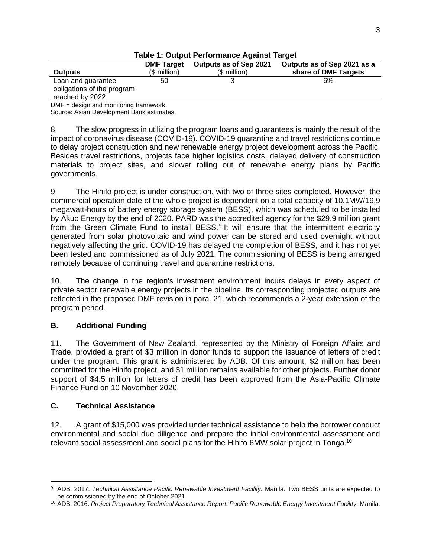| l able 1: Output Performance Aqainst Target                                |              |               |                      |  |
|----------------------------------------------------------------------------|--------------|---------------|----------------------|--|
| Outputs as of Sep 2021 as a<br>Outputs as of Sep 2021<br><b>DMF Target</b> |              |               |                      |  |
| <b>Outputs</b>                                                             | $$$ million) | $(S$ million) | share of DMF Targets |  |
| Loan and guarantee                                                         | 50           |               | 6%                   |  |
| obligations of the program                                                 |              |               |                      |  |
| reached by 2022                                                            |              |               |                      |  |
| -----                                                                      |              |               |                      |  |

# **Table 1: Output Performance Against Target**

DMF = design and monitoring framework.

Source: Asian Development Bank estimates.

8. The slow progress in utilizing the program loans and guarantees is mainly the result of the impact of coronavirus disease (COVID-19). COVID-19 quarantine and travel restrictions continue to delay project construction and new renewable energy project development across the Pacific. Besides travel restrictions, projects face higher logistics costs, delayed delivery of construction materials to project sites, and slower rolling out of renewable energy plans by Pacific governments.

9. The Hihifo project is under construction, with two of three sites completed. However, the commercial operation date of the whole project is dependent on a total capacity of 10.1MW/19.9 megawatt-hours of battery energy storage system (BESS), which was scheduled to be installed by Akuo Energy by the end of 2020. PARD was the accredited agency for the \$29.9 million grant from the Green Climate Fund to install BESS.<sup>9</sup> It will ensure that the intermittent electricity generated from solar photovoltaic and wind power can be stored and used overnight without negatively affecting the grid. COVID-19 has delayed the completion of BESS, and it has not yet been tested and commissioned as of July 2021. The commissioning of BESS is being arranged remotely because of continuing travel and quarantine restrictions.

10. The change in the region's investment environment incurs delays in every aspect of private sector renewable energy projects in the pipeline. Its corresponding projected outputs are reflected in the proposed DMF revision in para. 21, which recommends a 2-year extension of the program period.

#### <span id="page-6-0"></span>**B. Additional Funding**

11. The Government of New Zealand, represented by the Ministry of Foreign Affairs and Trade, provided a grant of \$3 million in donor funds to support the issuance of letters of credit under the program. This grant is administered by ADB. Of this amount, \$2 million has been committed for the Hihifo project, and \$1 million remains available for other projects. Further donor support of \$4.5 million for letters of credit has been approved from the Asia-Pacific Climate Finance Fund on 10 November 2020.

#### <span id="page-6-1"></span>**C. Technical Assistance**

12. A grant of \$15,000 was provided under technical assistance to help the borrower conduct environmental and social due diligence and prepare the initial environmental assessment and relevant social assessment and social plans for the Hihifo 6MW solar project in Tonga.<sup>10</sup>

<sup>9</sup> ADB. 2017. *Technical Assistance Pacific Renewable Investment Facility.* Manila. Two BESS units are expected to be commissioned by the end of October 2021.

<sup>10</sup> ADB. 2016. *Project Preparatory Technical Assistance Report: Pacific Renewable Energy Investment Facility.* Manila.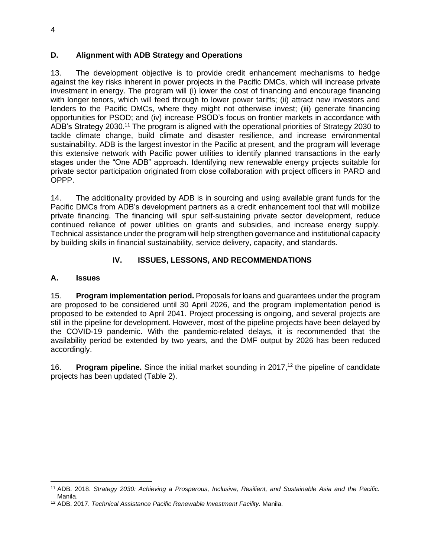#### <span id="page-7-0"></span>**D. Alignment with ADB Strategy and Operations**

13. The development objective is to provide credit enhancement mechanisms to hedge against the key risks inherent in power projects in the Pacific DMCs, which will increase private investment in energy. The program will (i) lower the cost of financing and encourage financing with longer tenors, which will feed through to lower power tariffs; (ii) attract new investors and lenders to the Pacific DMCs, where they might not otherwise invest; (iii) generate financing opportunities for PSOD; and (iv) increase PSOD's focus on frontier markets in accordance with ADB's Strategy 2030.<sup>11</sup> The program is aligned with the operational priorities of Strategy 2030 to tackle climate change, build climate and disaster resilience, and increase environmental sustainability. ADB is the largest investor in the Pacific at present, and the program will leverage this extensive network with Pacific power utilities to identify planned transactions in the early stages under the "One ADB" approach. Identifying new renewable energy projects suitable for private sector participation originated from close collaboration with project officers in PARD and OPPP.

14. The additionality provided by ADB is in sourcing and using available grant funds for the Pacific DMCs from ADB's development partners as a credit enhancement tool that will mobilize private financing. The financing will spur self-sustaining private sector development, reduce continued reliance of power utilities on grants and subsidies, and increase energy supply. Technical assistance under the program will help strengthen governance and institutional capacity by building skills in financial sustainability, service delivery, capacity, and standards.

# **IV. ISSUES, LESSONS, AND RECOMMENDATIONS**

#### <span id="page-7-2"></span><span id="page-7-1"></span>**A. Issues**

15. **Program implementation period.** Proposals for loans and guarantees under the program are proposed to be considered until 30 April 2026, and the program implementation period is proposed to be extended to April 2041. Project processing is ongoing, and several projects are still in the pipeline for development. However, most of the pipeline projects have been delayed by the COVID-19 pandemic. With the pandemic-related delays, it is recommended that the availability period be extended by two years, and the DMF output by 2026 has been reduced accordingly.

16. **Program pipeline.** Since the initial market sounding in 2017, <sup>12</sup> the pipeline of candidate projects has been updated (Table 2).

<sup>11</sup> ADB. 2018. *Strategy 2030: Achieving a Prosperous, Inclusive, Resilient, and Sustainable Asia and the Pacific.* Manila.

<sup>12</sup> ADB. 2017. *Technical Assistance Pacific Renewable Investment Facility.* Manila.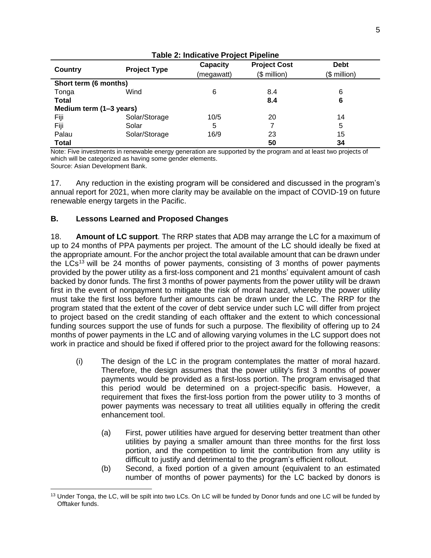| <b>Table 2: Indicative Project Pipeline</b> |                     |            |                     |              |
|---------------------------------------------|---------------------|------------|---------------------|--------------|
| Country                                     | <b>Project Type</b> | Capacity   | <b>Project Cost</b> | <b>Debt</b>  |
|                                             |                     | (megawatt) | $($$ million)       | $$$ million) |
| Short term (6 months)                       |                     |            |                     |              |
| Tonga                                       | Wind                | 6          | 8.4                 | 6            |
| <b>Total</b>                                |                     |            | 8.4                 | 6            |
| Medium term (1–3 years)                     |                     |            |                     |              |
| Fiji                                        | Solar/Storage       | 10/5       | 20                  | 14           |
| Fiji                                        | Solar               | 5          |                     | 5            |
| Palau                                       | Solar/Storage       | 16/9       | 23                  | 15           |
| <b>Total</b>                                |                     |            | 50                  | 34           |

Note: Five investments in renewable energy generation are supported by the program and at least two projects of which will be categorized as having some gender elements.

Source: Asian Development Bank.

17. Any reduction in the existing program will be considered and discussed in the program's annual report for 2021, when more clarity may be available on the impact of COVID-19 on future renewable energy targets in the Pacific.

#### <span id="page-8-0"></span>**B. Lessons Learned and Proposed Changes**

18. **Amount of LC support**. The RRP states that ADB may arrange the LC for a maximum of up to 24 months of PPA payments per project. The amount of the LC should ideally be fixed at the appropriate amount. For the anchor project the total available amount that can be drawn under the  $LCs<sup>13</sup>$  will be 24 months of power payments, consisting of 3 months of power payments provided by the power utility as a first-loss component and 21 months' equivalent amount of cash backed by donor funds. The first 3 months of power payments from the power utility will be drawn first in the event of nonpayment to mitigate the risk of moral hazard, whereby the power utility must take the first loss before further amounts can be drawn under the LC. The RRP for the program stated that the extent of the cover of debt service under such LC will differ from project to project based on the credit standing of each offtaker and the extent to which concessional funding sources support the use of funds for such a purpose. The flexibility of offering up to 24 months of power payments in the LC and of allowing varying volumes in the LC support does not work in practice and should be fixed if offered prior to the project award for the following reasons:

- (i) The design of the LC in the program contemplates the matter of moral hazard. Therefore, the design assumes that the power utility's first 3 months of power payments would be provided as a first-loss portion. The program envisaged that this period would be determined on a project-specific basis. However, a requirement that fixes the first-loss portion from the power utility to 3 months of power payments was necessary to treat all utilities equally in offering the credit enhancement tool.
	- (a) First, power utilities have argued for deserving better treatment than other utilities by paying a smaller amount than three months for the first loss portion, and the competition to limit the contribution from any utility is difficult to justify and detrimental to the program's efficient rollout.
	- (b) Second, a fixed portion of a given amount (equivalent to an estimated number of months of power payments) for the LC backed by donors is

<sup>&</sup>lt;sup>13</sup> Under Tonga, the LC, will be spilt into two LCs. On LC will be funded by Donor funds and one LC will be funded by Offtaker funds.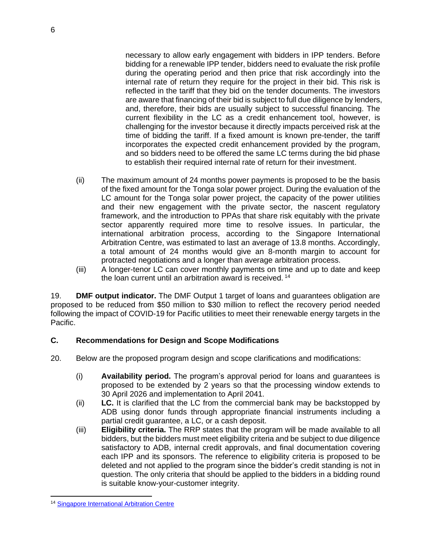necessary to allow early engagement with bidders in IPP tenders. Before bidding for a renewable IPP tender, bidders need to evaluate the risk profile during the operating period and then price that risk accordingly into the internal rate of return they require for the project in their bid. This risk is reflected in the tariff that they bid on the tender documents. The investors are aware that financing of their bid is subject to full due diligence by lenders, and, therefore, their bids are usually subject to successful financing. The current flexibility in the LC as a credit enhancement tool, however, is challenging for the investor because it directly impacts perceived risk at the time of bidding the tariff. If a fixed amount is known pre-tender, the tariff incorporates the expected credit enhancement provided by the program, and so bidders need to be offered the same LC terms during the bid phase to establish their required internal rate of return for their investment.

- (ii) The maximum amount of 24 months power payments is proposed to be the basis of the fixed amount for the Tonga solar power project. During the evaluation of the LC amount for the Tonga solar power project, the capacity of the power utilities and their new engagement with the private sector, the nascent regulatory framework, and the introduction to PPAs that share risk equitably with the private sector apparently required more time to resolve issues. In particular, the international arbitration process, according to the Singapore International Arbitration Centre, was estimated to last an average of 13.8 months. Accordingly, a total amount of 24 months would give an 8-month margin to account for protracted negotiations and a longer than average arbitration process.
- (iii) A longer-tenor LC can cover monthly payments on time and up to date and keep the loan current until an arbitration award is received.<sup>14</sup>

19. **DMF output indicator.** The DMF Output 1 target of loans and guarantees obligation are proposed to be reduced from \$50 million to \$30 million to reflect the recovery period needed following the impact of COVID-19 for Pacific utilities to meet their renewable energy targets in the Pacific.

## <span id="page-9-0"></span>**C. Recommendations for Design and Scope Modifications**

- 20. Below are the proposed program design and scope clarifications and modifications:
	- (i) **Availability period.** The program's approval period for loans and guarantees is proposed to be extended by 2 years so that the processing window extends to 30 April 2026 and implementation to April 2041.
	- (ii) **LC.** It is clarified that the LC from the commercial bank may be backstopped by ADB using donor funds through appropriate financial instruments including a partial credit guarantee, a LC, or a cash deposit.
	- (iii) **Eligibility criteria.** The RRP states that the program will be made available to all bidders, but the bidders must meet eligibility criteria and be subject to due diligence satisfactory to ADB, internal credit approvals, and final documentation covering each IPP and its sponsors. The reference to eligibility criteria is proposed to be deleted and not applied to the program since the bidder's credit standing is not in question. The only criteria that should be applied to the bidders in a bidding round is suitable know-your-customer integrity.

<sup>&</sup>lt;sup>14</sup> [Singapore International Arbitration Centre](https://www.siac.org.sg/faqs/siac-general-faqs#faq11)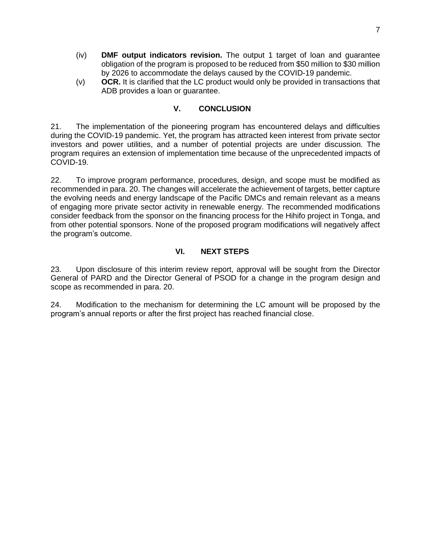- (iv) **DMF output indicators revision.** The output 1 target of loan and guarantee obligation of the program is proposed to be reduced from \$50 million to \$30 million by 2026 to accommodate the delays caused by the COVID-19 pandemic.
- (v) **OCR.** It is clarified that the LC product would only be provided in transactions that ADB provides a loan or guarantee.

#### **V. CONCLUSION**

<span id="page-10-0"></span>21. The implementation of the pioneering program has encountered delays and difficulties during the COVID-19 pandemic. Yet, the program has attracted keen interest from private sector investors and power utilities, and a number of potential projects are under discussion. The program requires an extension of implementation time because of the unprecedented impacts of COVID-19.

22. To improve program performance, procedures, design, and scope must be modified as recommended in para. 20. The changes will accelerate the achievement of targets, better capture the evolving needs and energy landscape of the Pacific DMCs and remain relevant as a means of engaging more private sector activity in renewable energy. The recommended modifications consider feedback from the sponsor on the financing process for the Hihifo project in Tonga, and from other potential sponsors. None of the proposed program modifications will negatively affect the program's outcome.

#### **VI. NEXT STEPS**

<span id="page-10-1"></span>23. Upon disclosure of this interim review report, approval will be sought from the Director General of PARD and the Director General of PSOD for a change in the program design and scope as recommended in para. 20.

24. Modification to the mechanism for determining the LC amount will be proposed by the program's annual reports or after the first project has reached financial close.